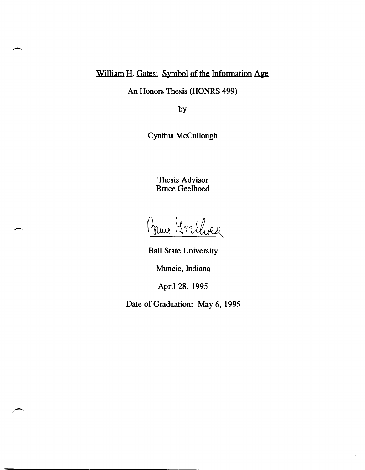## William H. Gates: Symbol of the Information Age

An Honors Thesis (HONRS 499)

by

Cynthia McCullough

Thesis Advisor Bruce Geelhoed

Prince Merchange

-

Ball State University

Muncie, Indiana

April 28, 1995

Date of Graduation: May 6, 1995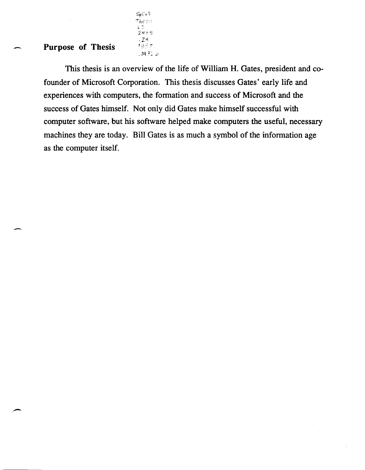## Purpose of Thesis

-

-

 $. M326$ This thesis is an overview of the life of William H. Gates, president and cofounder of Microsoft Corporation. This thesis discusses Gates' early life and experiences with computers, the fonnation and success of Microsoft and the success of Gates himself. Not only did Gates make himself successful with computer software, but his software helped make computers the useful, necessary machines they are today. Bill Gates is as much a symbol of the information age as the computer itself.

SpCo!l  $Thes:$  $L \supseteq$  $2489$ ·Zl1 199.F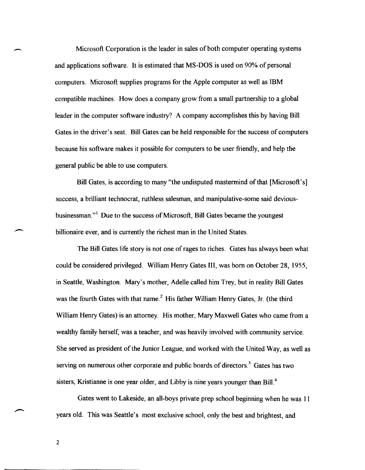Microsoft Corporation is the leader in sales of both computer operating systems and applications software. It is estimated that MS-DOS is used on 90% of personal computers. Microsoft supplies programs for the Apple computer as well as IBM compatible machines. How does a company grow from a small partnership to a global leader in the computer software industry? A company accomplishes this by having Bill Gates in the driver's seat. Bill Gates can be held responsible for the success of computers because his software makes it possible for computers to be user friendly, and help the general public be able to use computers.

Bill Gates, is according to many "the undisputed mastermind of that [Microsoft's] success, a brilliant technocrat, ruthless salesman, and manipulative-some said deviousbusinessman."<sup>1</sup> Due to the success of Microsoft, Bill Gates became the youngest billionaire ever, and is currently the richest man in the United States.

The Bill Gates life story is not one of rages to riches. Gates has always been what could be considered privileged. William Henry Gates III, was born on October 28, 1955, in Seattle, Washington. Mary's mother, Adelle called him Trey, but in reality Bill Gates was the fourth Gates with that name.<sup>2</sup> His father William Henry Gates, Jr. (the third William Henry Gates) is an attorney. His mother, Mary Maxwell Gates who came from a wealthy family herself, was a teacher, and was heavily involved with community service. She served as president of the Junior League, and worked with the United \\lay, as well as serving on numerous other corporate and public boards of directors.<sup>3</sup> Gates has two sisters, Kristianne is one year older, and Libby is nine years younger than Bill.<sup>4</sup>

Gates went to Lakeside, an all-boys private prep school beginning when he was 11 years old. This was Seattle's most exclusive school, only the best and brightest, and

2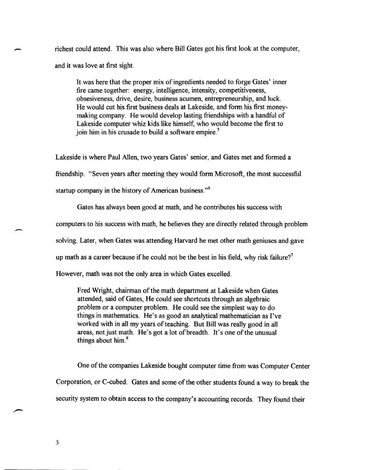richest could attend. This was also where Bill Gates got his first look at the computer, and it was love at first sight.

It was here that the proper mix of ingredients needed to forge Gates' inner fire came together: energy, intelligence, intensity, competitiveness, obsesiveness, drive, desire, business acumen, entrepreneurship, and luck. He would cut his first business deals at Lakeside, and form his first moneymaking company. He would develop lasting friendships with a handful of Lakeside computer whiz kids like himself, who would become the first to join him in his crusade to build a software empire.<sup>5</sup>

Lakeside is where Paul Allen, two years Gates' senior, and Gates met and formed a friendship. "Seven years after meeting they would form Microsoft, the most successful startup company in the history of American business."<sup>6</sup>

Gates has always been good at math, and he contributes his success with computers to his success with math, he believes they are directly related through problem solving. Later, when Gates was attending Harvard he met other math geniuses and gave up math as a career because if he could not be the best in his field, why risk failure?<sup>7</sup> However, math was not the only area in which Gates excelled.

Fred Wright, chairman of the math department at Lakeside when Gates attended, said of Gates, He could see shortcuts through an algebraic problem or a computer problem. He could see the simplest way to do things in mathematics. He's as good an analytical mathematician as I've worked with in all my years of teaching. But Bill was really good in all areas, not just math. He's got a lot of breadth. It's one of the unusual things about him. <sup>8</sup>

One of the companies Lakeside bought computer time from was Computer Center Corporation, or C-cubed. Gates and some of the other students found a way to break the security system to obtain access to the company's accounting records. They found their

-

.-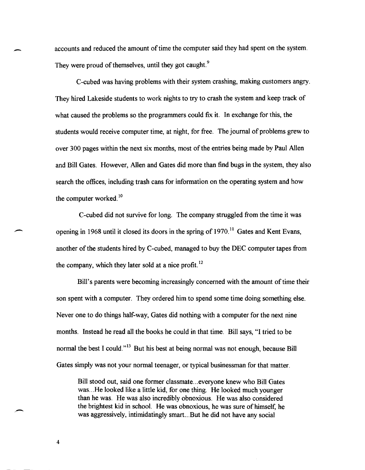accounts and reduced the amount of time the computer said they had spent on the system. They were proud of themselves, until they got caught.<sup>9</sup>

C-cubed was having problems with their system crashing, making customers angry. They hired Lakeside students to work nights to try to crash the system and keep track of what caused the problems so the programmers could fix it. In exchange for this, the students would receive computer time, at night, for free. The journal of problems grew to over 300 pages within the next six months, most of the entries being made by Paul Allen and Bill Gates. However, Allen and Gates did more than find bugs in the system, they also search the offices, including trash cans for information on the operating system and how the computer worked.<sup>10</sup>

C-cubed did not survive for long. The company struggled from the time it was opening in 1968 until it closed its doors in the spring of 1970.<sup>11</sup> Gates and Kent Evans, another of the students hired by C-cubed, managed to buy the DEC computer tapes from the company, which they later sold at a nice profit.<sup>12</sup>

Bill's parents were becoming increasingly concerned with the amount of time their son spent with a computer. They ordered him to spend some time doing something else. Never one to do things half-way, Gates did nothing with a computer for the next nine months. Instead he read all the books he could in that time. Bill says, "I tried to be normal the best I could.<sup>13</sup> But his best at being normal was not enough, because Bill Gates simply was not your normal teenager, or typical businessman for that matter.

Bill stood out, said one former classmate ... everyone knew who Bill Gates was... He looked like a little kid, for one thing. He looked much younger than he was. He was also incredibly obnoxious. He was also considered the brightest kid in school. He was obnoxious, he was sure of himself, he was aggressively, intimidatingly smart ... But he did not have any social

4

-

-

.-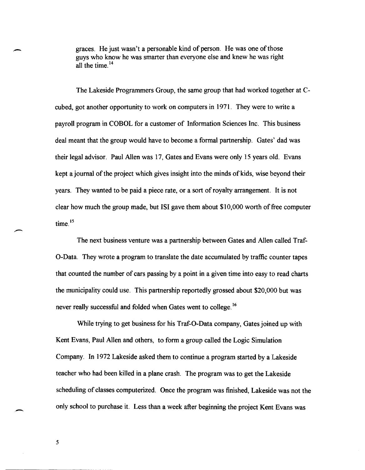.- graces. He just wasn't a personable kind of person. He was one of those guys who know he was smarter than everyone else and knew he was right all the time.  $14$ 

The Lakeside Programmers Group, the same group that had worked together at Ccubed, got another opportunity to work on computers in 1971. They were to write a payroll program in COBOL for a customer of Information Sciences Inc. This business deal meant that the group would have to become a formal partnership. Gates' dad was their legal advisor. Paul Allen was 17, Gates and Evans were only 15 years old. Evans kept a journal of the project which gives insight into the minds of kids, wise beyond their years. They wanted to be paid a piece rate, or a sort of royalty arrangement. It is not clear how much the group made, but lSI gave them about \$10,000 worth of free computer time.<sup>15</sup>

The next business venture was a partnership between Gates and Allen called Traf-O-Data. They wrote a program to translate the date accumulated by traffic counter tapes that counted the number of cars passing by a point in a given time into easy to read charts the municipality could use. This partnership reportedly grossed about \$20,000 but was never really successful and folded when Gates went to college. 16

While trying to get business for his Traf-O-Data company, Gates joined up with Kent Evans, Paul Allen and others, to form a group called the Logic Simulation Company. In 1972 Lakeside asked them to continue a program started by a Lakeside teacher who had been killed in a plane crash. The program was to get the Lakeside scheduling of classes computerized. Once the program was finished, Lakeside was not the only school to purchase it. Less than a week after beginning the project Kent Evans was

5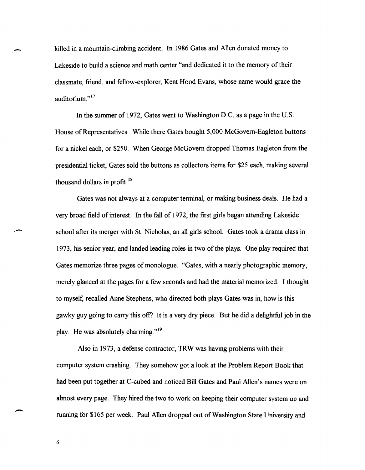killed in a mountain-climbing accident. In 1986 Gates and Allen donated money to Lakeside to build a science and math center "and dedicated it to the memory of their classmate, friend, and fellow-explorer, Kent Hood Evans, whose name would grace the auditorium."<sup>17</sup>

In the summer of 1972, Gates went to Washington D.C. as a page in the U.S. House of Representatives. While there Gates bought 5,000 McGovern-Eagleton buttons for a nickel each, or \$250. When George McGovern dropped Thomas Eagleton from the presidential ticket, Gates sold the buttons as collectors items for \$25 each, making several thousand dollars in profit. <sup>18</sup>

Gates was not always at a computer terminal, or making business deals. He had a very broad field of interest. In the fall of 1972, the first girls began attending Lakeside school after its merger with St. Nicholas, an all girls school. Gates took a drama class in 1973, his senior year, and landed leading roles in two of the plays. One play required that Gates memorize three pages of monologue. "Gates, with a nearly photographic memory, merely glanced at the pages for a few seconds and had the material memorized. I thought to myself, recalled Anne Stephens, who directed both plays Gates was in, how is this gawky guy going to carry this off? It is a very dry piece. But he did a delightful job in the play. He was absolutely charming. $n^{19}$ 

Also in 1973, a defense contractor, TRW was having problems with their computer system crashing. They somehow got a look at the Problem Report Book that had been put together at C-cubed and noticed Bill Gates and Paul Allen's names were on almost every page. They hired the two to work on keeping their computer system up and running for \$165 per week. Paul Allen dropped out of Washington State University and

6

.-

--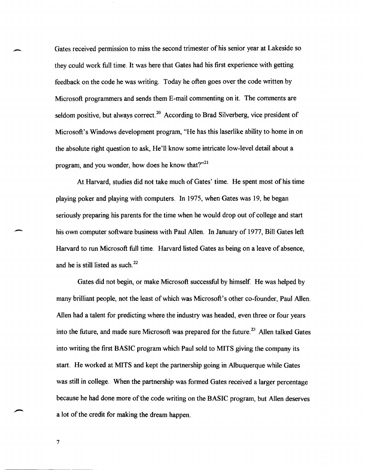Gates received permission to miss the second trimester of his senior year at Lakeside so they could work full time. It was here that Gates had his first experience with getting feedback on the code he was writing. Today he often goes over the code written by Microsoft programmers and sends them E-mail commenting on it. The comments are seldom positive, but always correct.<sup>20</sup> According to Brad Silverberg, vice president of Microsoft's Windows development program, "He has this laserlike ability to home in on the absolute right question to ask, He'll know some intricate low-level detail about a program, and you wonder, how does he know that? $^{221}$ 

At Harvard, studies did not take much of Gates' time. He spent most of his time playing poker and playing with computers. In 1975, when Gates was 19, he began seriously preparing his parents for the time when he would drop out of college and start his own computer software business with Paul Allen. In January of 1977, Bill Gates left Harvard to run Microsoft full time. Harvard listed Gates as being on a leave of absence, and he is still listed as such. 22

Gates did not begin, or make Microsoft successful by himself. He was helped by many brilliant people, not the least of which was Microsoft's other co-founder, Paul Allen. Allen had a talent for predicting where the industry was headed, even three or four years into the future, and made sure Microsoft was prepared for the future.<sup>23</sup> Allen talked Gates into writing the first BASIC program which Paul sold to MITS giving the company its start. He worked at MITS and kept the partnership going in Albuquerque while Gates was still in college. When the partnership was formed Gates received a larger percentage because he had done more of the code writing on the BASIC program, but Allen deserves a lot of the credit for making the dream happen.

7

-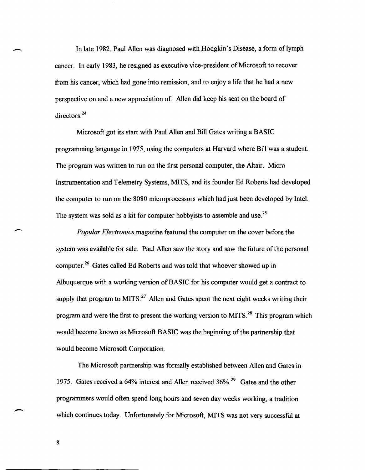In late 1982, Paul Allen was diagnosed with Hodgkin's Disease, a form of lymph cancer. In early 1983, he resigned as executive vice-president of Microsoft to recover from his cancer, which had gone into remission, and to enjoy a life that he had a new perspective on and a new appreciation of Allen did keep his seat on the board of directors.<sup>24</sup>

Microsoft got its start with Paul Allen and Bill Gates writing a BASIC programming language in 1975, using the computers at Harvard where Bill was a student. The program was written to run on the first personal computer, the Altair. Micro Instrumentation and Telemetry Systems, MITS, and its founder Ed Roberts had developed the computer to run on the 8080 microprocessors which had just been developed by Intel. The system was sold as a kit for computer hobbyists to assemble and use.<sup>25</sup>

*Popular Electronics* magazine featured the computer on the cover before the system was available for sale. Paul Allen saw the story and saw the future of the personal computer.<sup>26</sup> Gates called Ed Roberts and was told that whoever showed up in Albuquerque with a working version of BASIC for his computer would get a contract to supply that program to MITS.<sup>27</sup> Allen and Gates spent the next eight weeks writing their program and were the first to present the working version to MITS.<sup>28</sup> This program which would become known as Microsoft BASIC was the beginning of the partnership that would become Microsoft Corporation.

The Microsoft partnership was formally established between Allen and Gates in 1975. Gates received a 64% interest and Allen received 36%.<sup>29</sup> Gates and the other programmers would often spend long hours and seven day weeks working, a tradition which continues today. Unfortunately for Microsoft, MITS was not very successful at

8

-

-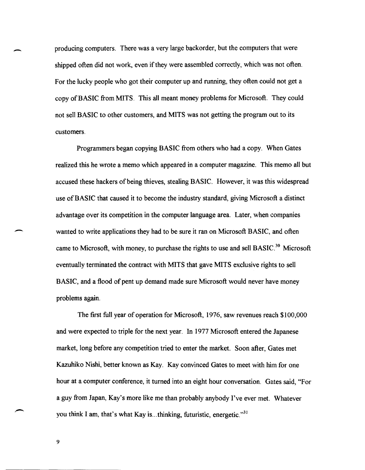producing computers. There was a very large backorder, but the computers that were shipped often did not work, even if they were assembled correctly, which was not often. For the lucky people who got their computer up and running, they often could not get a copy of BASIC from MITS. This all meant money problems for Microsoft. They could not sell BASIC to other customers, and MITS was not getting the program out to its customers.

Programmers began copying BASIC from others who had a copy. When Gates realized this he wrote a memo which appeared in a computer magazine. This memo all but accused these hackers of being thieves, stealing BASIC. However, it was this widespread use of BASIC that caused it to become the industry standard, giving Microsoft a distinct advantage over its competition in the computer language area. Later, when companies wanted to write applications they had to be sure it ran on Microsoft BASIC, and often came to Microsoft, with money, to purchase the rights to use and sell BASIC.<sup>30</sup> Microsoft eventually terminated the contract with MITS that gave MITS exclusive rights to sell BASIC, and a flood of pent up demand made sure Microsoft would never have money problems again.

The first full year of operation for Microsoft, 1976, saw revenues reach \$100,000 and were expected to triple for the next year. In 1977 Microsoft entered the Japanese market, long before any competition tried to enter the market. Soon after, Gates met Kazuhiko Nishi, better known as Kay. Kay convinced Gates to meet with him for one hour at a computer conference, it turned into an eight hour conversation. Gates said, "For a guy from Japan, Kay's more like me than probably anybody I've ever met. Whatever you think I am, that's what Kay is ... thinking, futuristic, energetic. $^{31}$ 

9

-

 $\overline{\phantom{a}}$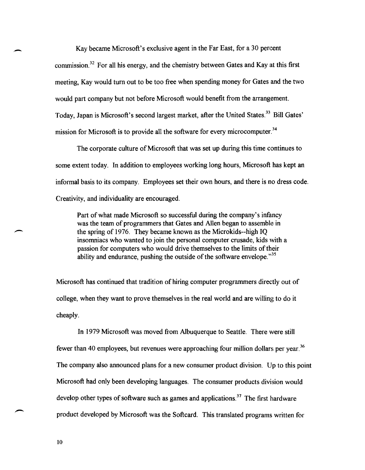Kay became Microsoft's exclusive agent in the Far East, for a 30 percent commission.32 For all his energy, and the chemistry between Gates and Kay at this first meeting, Kay would tum out to be too free when spending money for Gates and the two would part company but not before Microsoft would benefit from the arrangement. Today, Japan is Microsoft's second largest market, after the United States.<sup>33</sup> Bill Gates' mission for Microsoft is to provide all the software for every microcomputer.<sup>34</sup>

The corporate culture of Microsoft that was set up during this time continues to some extent today. In addition to employees working long hours, Microsoft has kept an informal basis to its company. Employees set their own hours, and there is no dress code. Creativity, and individuality are encouraged.

Part of what made Microsoft so successful during the company's infancy was the team of programmers that Gates and Allen began to assemble in the spring of 1976. They became known as the Microkids--high IQ insomniacs who wanted to join the personal computer crusade, kids with a passion for computers who would drive themselves to the limits of their ability and endurance, pushing the outside of the software envelope.<sup>35</sup>

Microsoft has continued that tradition of hiring computer programmers directly out of college, when they want to prove themselves in the real world and are willing to do it cheaply.

In 1979 Microsoft was moved from Albuquerque to Seattle. There were still fewer than 40 employees, but revenues were approaching four million dollars per year.<sup>36</sup> The company also announced plans for a new consumer product division. Up to this point Microsoft had only been developing languages. The consumer products division would develop other types of software such as games and applications.<sup>37</sup> The first hardware product developed by Microsoft was the Softcard. This translated programs written for

10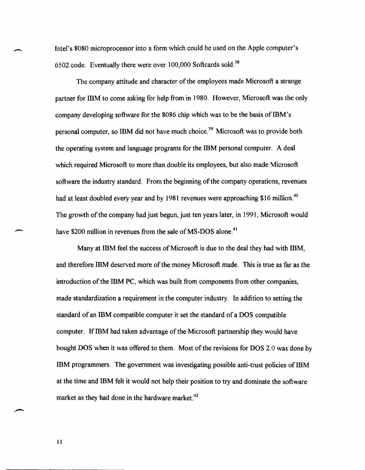Intel's 8080 microprocessor into a form which could be used on the Apple computer's 6502 code. Eventually there were over 100,000 Softcards sold. <sup>38</sup>

The company attitude and character of the employees made Microsoft a strange partner for IBM to come asking for help from in 1980. However, Microsoft was the only company developing software for the 8086 chip which was to be the basis of IBM's personal computer, so IBM did not have much choice. 39 Microsoft was to provide both the operating system and language programs for the IBM personal computer. A deal which required Microsoft to more than double its employees, but also made Microsoft software the industry standard. From the beginning of the company operations, revenues had at least doubled every year and by 1981 revenues were approaching \$16 million.<sup>40</sup> The growth of the company had just begun, just ten years later, in 1991, Microsoft would have \$200 million in revenues from the sale of MS-DOS alone.<sup>41</sup>

Many at IBM feel the success of Microsoft is due to the deal they had with IBM, and therefore IBM deserved more of the money Microsoft made. This is true as far as the introduction of the IBM PC, which was built from components from other companies, made standardization a requirement in the computer industry. In addition to setting the standard of an IBM compatible computer it set the standard of a DOS compatible computer. If IBM had taken advantage of the Microsoft partnership they would have bought DOS when it was offered to them. Most of the revisions for DOS 2.0 was done by IBM programmers. The government was investigating possible anti-trust policies of IBM at the time and IBM felt it would not help their position to try and dominate the software market as they had done in the hardware market.<sup>42</sup>

11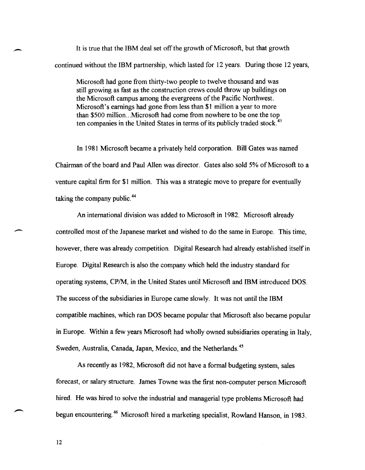It is true that the IBM deal set off the growth of Microsoft, but that growth continued without the IBM partnership, which lasted for 12 years. During those 12 years,

Microsoft had gone from thirty-two people to twelve thousand and was still growing as fast as the construction crews could throw up buildings on the Microsoft campus among the evergreens of the Pacific Northwest. Microsoft's earnings had gone from less than \$1 million a year to more than \$500 million... Microsoft had come from nowhere to be one the top ten companies in the United States in terms of its publicly traded stock. $43$ 

In 1981 Microsoft became a privately held corporation. Bill Gates was named Chairman of the board and Paul Allen was director. Gates also sold 5% of Microsoft to a venture capital firm for \$1 million. This was a strategic move to prepare for eventually taking the company public. 44

An international division was added to Microsoft in 1982. Microsoft already controlled most of the Japanese market and wished to do the same in Europe. This time, however, there was already competition. Digital Research had already established itself in Europe. Digital Research is also the company which held the industry standard for operating systems, CP/M, in the United States until Microsoft and IBM introduced DOS. The success of the subsidiaries in Europe came slowly. It was not until the IBM compatible machines, which ran DOS became popular that Microsoft also became popular in Europe. Within a few years Microsoft had wholly owned subsidiaries operating in Italy, Sweden, Australia, Canada, Japan, Mexico, and the Netherlands. <sup>45</sup>

As recently as 1982, Microsoft did not have a formal budgeting system, sales forecast, or salary structure. James Towne was the first non-computer person Microsoft hired. He was hired to solve the industrial and managerial type problems Microsoft had begun encountering. 46 Microsoft hired a marketing specialist, Rowland Hanson, in 1983.

12

-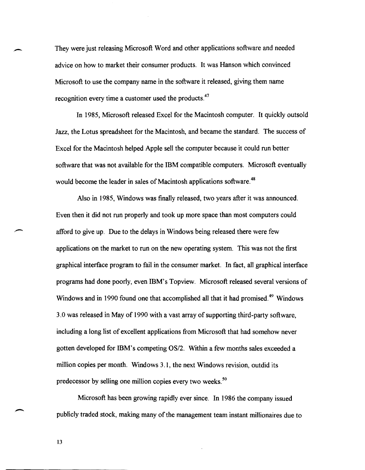They were just releasing Microsoft Word and other applications software and needed advice on how to market their consumer products. It was Hanson which convinced Microsoft to use the company name in the software it released, giving them name recognition every time a customer used the products.<sup>47</sup>

In 1985, Microsoft released Excel for the Macintosh computer. It quickly outsold Jazz, the Lotus spreadsheet for the Macintosh, and became the standard. The success of Excel for the Macintosh helped Apple sell the computer because it could run better software that was not available for the IBM compatible computers. Microsoft eventually would become the leader in sales of Macintosh applications software.<sup>48</sup>

Also in 1985, Windows was finally released, two years after it was announced. Even then it did not run properly and took up more space than most computers could afford to give up. Due to the delays in Windows being released there were few applications on the market to run on the new operating system. This was not the first graphical interface program to fail in the consumer market. In fact, all graphical interface programs had done poorly, even ffiM's Topview. Microsoft released several versions of Windows and in 1990 found one that accomplished all that it had promised.<sup>49</sup> Windows 3.0 was released in May of 1990 with a vast array of supporting third-party software, including a long list of excellent applications from Microsoft that had somehow never gotten developed for IBM's competing OS/2. Within a few months sales exceeded a million copies per month. Windows 3.1, the next Windows revision, outdid its predecessor by selling one million copies every two weeks. 50

Microsoft has been growing rapidly ever since. In 1986 the company issued publicly traded stock, making many of the management team instant millionaires due to

13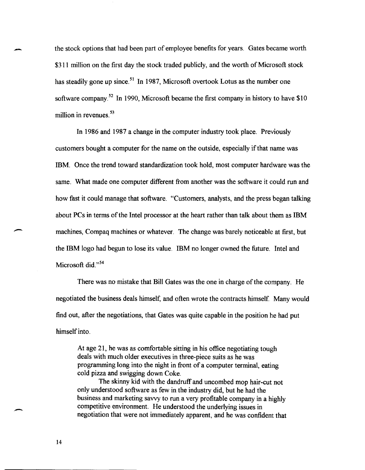the stock options that had been part of employee benefits for years. Gates became worth \$311 million on the first day the stock traded publicly, and the worth of Microsoft stock has steadily gone up since.<sup>51</sup> In 1987, Microsoft overtook Lotus as the number one software company.<sup>52</sup> In 1990, Microsoft became the first company in history to have \$10 million in revenues.<sup>53</sup>

In 1986 and 1987 a change in the computer industry took place. Previously customers bought a computer for the name on the outside, especially if that name was IBM. Once the trend toward standardization took hold, most computer hardware was the same. What made one computer different from another was the software it could run and how fast it could manage that software. "Customers, analysts, and the press began talking about PCs in terms of the Intel processor at the heart rather than talk about them as IBM machines, Compaq machines or whatever. The change was barely noticeable at first, but the IBM logo had begun to lose its value. IBM no longer owned the future. Intel and Microsoft did." $54$ 

There was no mistake that Bill Gates was the one in charge of the company. He negotiated the business deals himself, and often wrote the contracts himself. Many would find out, after the negotiations, that Gates was quite capable in the position he had put himself into.

At age 21, he was as comfortable sitting in his office negotiating tough deals with much older executives in three-piece suits as he was programming long into the night in front of a computer terminal, eating cold pizza and swigging down Coke.

The skinny kid with the dandruff and uncombed mop hair-cut not only understood software as few in the industry did, but he had the business and marketing savvy to run a very profitable company in a highly competitive environment. He understood the underlying issues in negotiation that were not immediately apparent, and he was confident that

14

-

 $\overline{\phantom{a}}$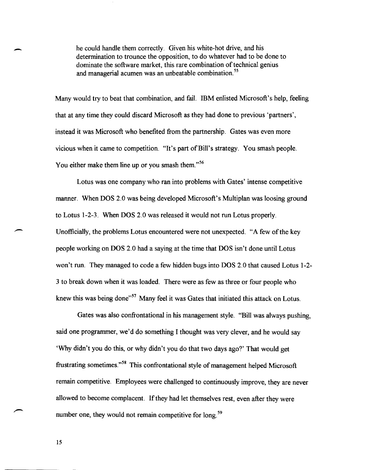he could handle them correctly. Given his white-hot drive, and his determination to trounce the opposition, to do whatever had to be done to dominate the software market, this rare combination of technical genius and managerial acumen was an unbeatable combination.<sup>55</sup>

Many would try to beat that combination, and fail. IBM enlisted Microsoft's help, feeling that at any time they could discard Microsoft as they had done to previous 'partners', instead it was Microsoft who benefited from the partnership. Gates was even more vicious when it came to competition. "It's part of Bill's strategy. You smash people. You either make them line up or you smash them. $156$ 

Lotus was one company who ran into problems with Gates' intense competitive manner. When DOS 2.0 was being developed Microsoft's Multiplan was loosing ground to Lotus 1-2-3. When DOS 2.0 was released it would not run Lotus properly. Unofficially, the problems Lotus encountered were not unexpected. "A few of the key people working on DOS 2.0 had a saying at the time that DOS isn't done until Lotus won't run. They managed to code a few hidden bugs into DOS 2.0 that caused Lotus 1-2- 3 to break down when it was loaded. There were as few as three or four people who knew this was being done"<sup>57</sup> Many feel it was Gates that initiated this attack on Lotus.

Gates was also confrontational in his management style. "Bill was always pushing, said one programmer, we'd do something I thought was very clever, and he would say 'Why didn't you do this, or why didn't you do that two days ago?' That would get frustrating sometimes."<sup>58</sup> This confrontational style of management helped Microsoft remain competitive. Employees were challenged to continuously improve, they are never allowed to become complacent. If they had let themselves rest, even after they were number one, they would not remain competitive for long.<sup>59</sup>

15

-

 $\overline{\phantom{a}}$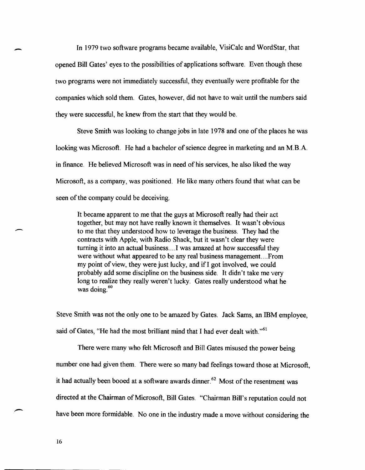In 1979 two software programs became available, VisiCalc and WordStar, that opened Bill Gates' eyes to the possibilities of applications software. Even though these two programs were not immediately successful, they eventually were profitable for the companies which sold them. Gates, however, did not have to wait until the numbers said they were successful, he knew from the start that they would be.

Steve Smith was looking to change jobs in late 1978 and one of the places he was looking was Microsoft. He had a bachelor of science degree in marketing and an M.B.A. in finance. He believed Microsoft was in need of his services, he also liked the way Microsoft, as a company, was positioned. He like many others found that what can be seen of the company could be deceiving.

It became apparent to me that the guys at Microsoft really had their act together, but may not have really known it themselves. It wasn't obvious to me that they understood how to leverage the business. They had the contracts with Apple, with Radio Shack, but it wasn't clear they were turning it into an actual business....I was amazed at how successful they were without what appeared to be any real business management.. .. From my point of view, they were just lucky, and ifI got involved, we could probably add some discipline on the business side. It didn't take me very long to realize they really weren't lucky. Gates really understood what he was doing. $60$ 

Steve Smith was not the only one to be amazed by Gates. Jack Sams, an IBM employee, said of Gates, "He had the most brilliant mind that I had ever dealt with."<sup>61</sup>

There were many who felt Microsoft and Bill Gates misused the power being number one had given them. There were so many bad feelings toward those at Microsoft, it had actually been booed at a software awards dinner.<sup>62</sup> Most of the resentment was directed at the Chairman of Microsoft, Bill Gates. "Chairman Bill's reputation could not have been more formidable. No one in the industry made a move without considering the

16

 $\overline{\phantom{a}}$ 

-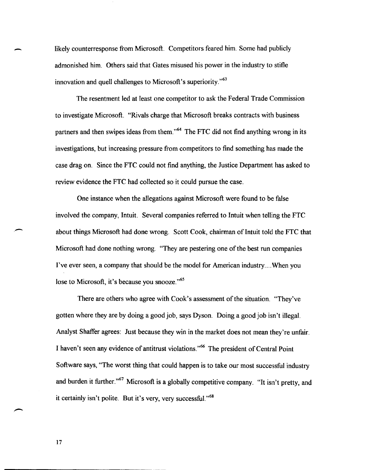likely counterresponse from Microsoft. Competitors feared him. Some had publicly admonished him. Others said that Gates misused his power in the industry to stifle innovation and quell challenges to Microsoft's superiority."<sup>63</sup>

The resentment led at least one competitor to ask the Federal Trade Commission to investigate Microsoft. "Rivals charge that Microsoft breaks contracts with business partners and then swipes ideas from them.<sup>564</sup> The FTC did not find anything wrong in its investigations, but increasing pressure from competitors to find something has made the case drag on. Since the FTC could not find anything, the Justice Department has asked to review evidence the FTC had collected so it could pursue the case.

One instance when the allegations against Microsoft were found to be false involved the company, Intuit. Several companies referred to Intuit when telling the FTC about things Microsoft had done wrong. Scott Cook, chairman of Intuit told the FTC that Microsoft had done nothing wrong. "They are pestering one of the best run companies I've ever seen, a company that should be the model for American industry .... When you lose to Microsoft, it's because you snooze."<sup>65</sup>

There are others who agree with Cook's assessment of the situation. "They've gotten where they are by doing a good job, says Dyson. Doing a good job isn't illegal. Analyst Shaffer agrees: Just because they win in the market does not mean they're unfair. I haven't seen any evidence of antitrust violations."<sup>66</sup> The president of Central Point Software says, "The worst thing that could happen is to take our most successful industry and burden it further."<sup>67</sup> Microsoft is a globally competitive company. "It isn't pretty, and it certainly isn't polite. But it's very, very successful."<sup>68</sup>

17

-

.-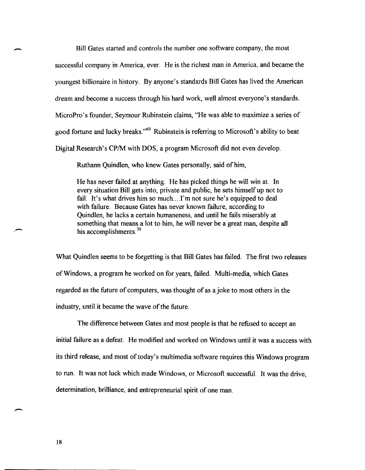Bill Gates started and controls the number one software company, the most

successful company in America, ever. He is the richest man in America, and became the youngest billionaire in history. By anyone's standards Bill Gates has lived the American dream and become a success through his hard work, well almost everyone's standards. MicroPro's founder, Seymour Rubinstein claims, "He was able to maximize a series of good fortune and lucky breaks."<sup>69</sup> Rubinstein is referring to Microsoft's ability to beat Digital Research's CP/M with DOS, a program Microsoft did not even develop.

Ruthann Quindlen, who knew Gates personally, said of him,

He has never failed at anything. He has picked things he will win at. In every situation Bill gets into, private and public, he sets himself up not to fail. It's what drives him so much....I'm not sure he's equipped to deal with failure. Because Gates has never known failure, according to Quindlen, he lacks a certain humaneness, and until he fails miserably at something that means a lot to him, he will never be a great man, despite all his accomplishments.<sup>70</sup>

What Quindlen seems to be forgetting is that Bill Gates has failed. The first two releases of Windows, a program he worked on for years, failed. Multi-media, which Gates regarded as the future of computers, was thought of as a joke to most others in the industry, until it became the wave of the future.

The difference between Gates and most people is that he refused to accept an initial failure as a defeat. He modified and worked on Windows until it was a success with its third release, and most of today's multimedia software requires this Windows program to run. It was not luck which made Windows, or Microsoft successful. It was the drive, determination, brilliance, and entrepreneurial spirit of one man.

,-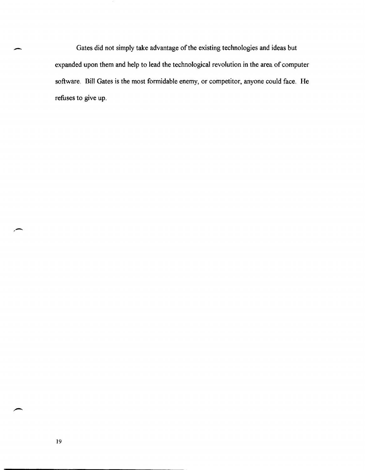Gates did not simply take advantage of the existing technologies and ideas but expanded upon them and help to lead the technological revolution in the area of computer software. Bill Gates is the most formidable enemy, or competitor, anyone could face. He refuses to give up.

-

,-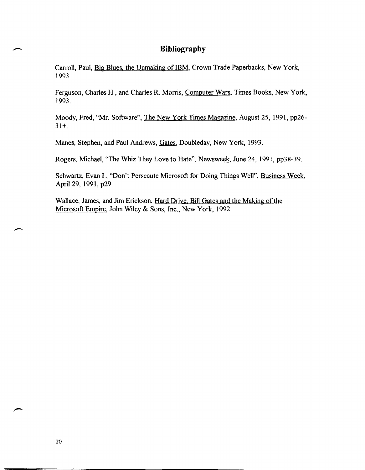## **Bibliography**

Carroll, Paul, Big Blues, the Unmaking of IBM, Crown Trade Paperbacks, New York, 1993.

Ferguson, Charles H., and Charles R. Morris, Computer Wars, Times Books, New York, 1993.

Moody, Fred, "Mr. Software", The New York Times Magazine, August 25, 1991, pp26- 31+.

Manes, Stephen, and Paul Andrews, Gates, Doubleday, New York, 1993.

Rogers, Michael, "The Whiz They Love to Hate", Newsweek, June 24, 199], pp38-39.

Schwartz, Evan 1., "Don't Persecute Microsoft for Doing Things Well", Business Week, April 29, 1991, p29.

Wallace, James, and Jim Erickson, Hard Drive, Bill Gates and the Making of the Microsoft Empire, John Wiley & Sons, Inc., New York, 1992.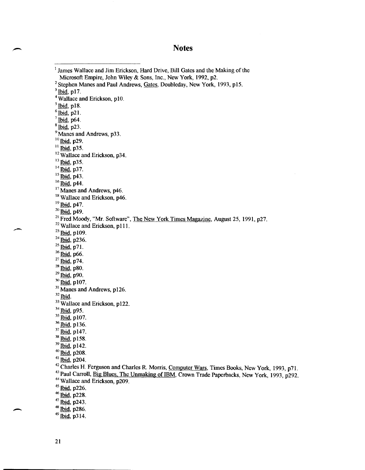## **Notes**

<sup>1</sup> James Wallace and Jim Erickson, Hard Drive, Bill Gates and the Making of the Microsoft Empire, John Wiley & Sons, Inc., New York, 1992, p2. <sup>2</sup> Stephen Manes and Paul Andrews, Gates, Doubleday, New York, 1993, p15.  $3$  Ibid, p17. <sup>4</sup> Wallace and Erickson, p10.  $<sup>5</sup>$  lbid, p18.</sup>  $6$ Ibid, p21.  $\sqrt[7]{\text{Ibid}}$ , p64.  $8$  Ibid, p23. <sup>9</sup> Manes and Andrews, p33.  $10$  Ibid, p29.  $^{11}$  Ibid, p35. <sup>12</sup> Wallace and Erickson, p34.  $13$  lbid, p35.  $14$   $\overline{Big}$ , p37.  $15$   $\overline{Ibid}$ , p43.  $16$  Ibid, p44. <sup>17</sup> Manes and Andrews, p46. 18 Wallace and Erickson, p46.  $19$  Ibid, p47.  $20$  Ibid, p49.  $21$  Fred Moody, "Mr. Software", The New York Times Magazine, August 25, 1991, p27. <sup>22</sup> Wallace and Erickson, p111.  $^{23}$  Ibid, p109.  $24$  Ibid, p236.  $^{25}$  Ibid, p71.  $26$  lbid, p66.  $27$   $\overline{\text{Ibid}}$ , p74.  $28$   $\overline{Bid}$ , p80.  $^{29}$  Ibid, p90.  $30$  Ibid, p107. <sup>31</sup> Manes and Andrews, p126.  $32$  Ibid. <sup>33</sup> Wallace and Erickson, p122. 34 Ibid, p95.  $35$   $\overline{b}$ id, p107. <sup>36</sup> Ibid, p136. 37 Ibid, p147. <sup>38</sup> Ibid, p158.  $39$  Ibid, p142. 40 Ibid, p208. 41 Ibid, p204. 42 Charles H. Ferguson and Charles R. Morris, Computer Wars, Times Books, New York, 1993, p71. <sup>43</sup> Paul Carroll, Big Blues, The Unmaking of IBM, Crown Trade Paperbacks, New York, 1993, p292. 44 Wallace and Erickson, p209.  $45$  Ibid, p226. 46 <u>Ibid</u>, p228.  $47 \overline{\text{Ibid}}$ , p243.  $48$  Ibid, p286.  $49$  Ibid, p314.

-

 $\overline{\phantom{a}}$